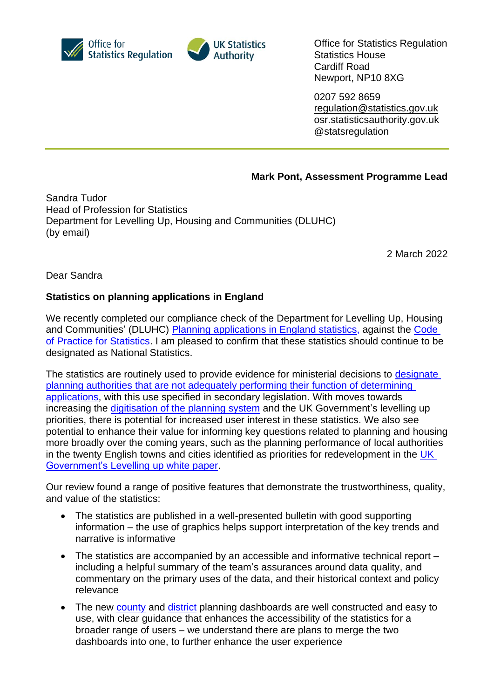



Office for Statistics Regulation Statistics House Cardiff Road Newport, NP10 8XG

0207 592 8659 [regulation@statistics.gov.uk](mailto:E:%E2%80%82regulation@statistics.gov.uk) osr.statisticsauthority.gov.uk @statsregulation

## **Mark Pont, Assessment Programme Lead**

Sandra Tudor Head of Profession for Statistics Department for Levelling Up, Housing and Communities (DLUHC) (by email)

2 March 2022

Dear Sandra

## **Statistics on planning applications in England**

We recently completed our compliance check of the Department for Levelling Up, Housing and Communities' (DLUHC) [Planning applications](https://www.gov.uk/government/collections/planning-applications-statistics) in England statistics, against the [Code](https://code.statisticsauthority.gov.uk/)  [of Practice for Statistics.](https://code.statisticsauthority.gov.uk/) I am pleased to confirm that these statistics should continue to be designated as National Statistics.

The statistics are routinely used to provide evidence for ministerial decisions to designate planning authorities [that are not adequately performing their function of determining](https://www.gov.uk/government/publications/improving-planning-performance-criteria-for-designation)  [applications,](https://www.gov.uk/government/publications/improving-planning-performance-criteria-for-designation) with this use specified in secondary legislation. With moves towards increasing the [digitisation of the planning system](https://www.gov.uk/government/news/local-areas-to-trial-new-digital-initiatives-to-make-planning-process-more-accessible) and the UK Government's levelling up priorities, there is potential for increased user interest in these statistics. We also see potential to enhance their value for informing key questions related to planning and housing more broadly over the coming years, such as the planning performance of local authorities in the twenty English towns and cities identified as priorities for redevelopment in the UK [Government's Levelling](https://www.gov.uk/government/publications/levelling-up-the-united-kingdom) up white paper.

Our review found a range of positive features that demonstrate the trustworthiness, quality, and value of the statistics:

- The statistics are published in a well-presented bulletin with good supporting information – the use of graphics helps support interpretation of the key trends and narrative is informative
- The statistics are accompanied by an accessible and informative technical report including a helpful summary of the team's assurances around data quality, and commentary on the primary uses of the data, and their historical context and policy relevance
- The new [county](https://app.powerbi.com/view?r=eyJrIjoiZTQ5ZWIzNDEtOTc3OS00MDY1LWFkM2MtZmRkNGVlOTA2Mjc3IiwidCI6ImJmMzQ2ODEwLTljN2QtNDNkZS1hODcyLTI0YTJlZjM5OTVhOCJ9) and [district](https://app.powerbi.com/view?r=eyJrIjoiZGRhMTVkMWUtNmU1MC00NzdiLWI2ZDUtNGRmZjAxNWVkZTY5IiwidCI6ImJmMzQ2ODEwLTljN2QtNDNkZS1hODcyLTI0YTJlZjM5OTVhOCJ9) planning dashboards are well constructed and easy to use, with clear guidance that enhances the accessibility of the statistics for a broader range of users – we understand there are plans to merge the two dashboards into one, to further enhance the user experience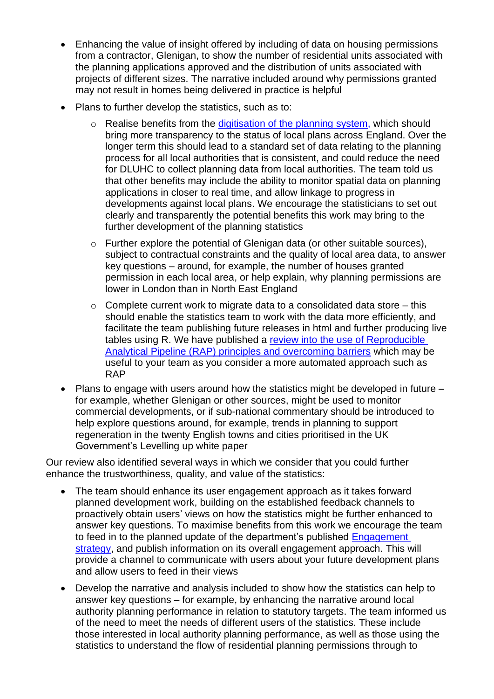- Enhancing the value of insight offered by including of data on housing permissions from a contractor, Glenigan, to show the number of residential units associated with the planning applications approved and the distribution of units associated with projects of different sizes. The narrative included around why permissions granted may not result in homes being delivered in practice is helpful
- Plans to further develop the statistics, such as to:
	- $\circ$  Realise benefits from the [digitisation of the planning](https://www.gov.uk/government/news/local-areas-to-trial-new-digital-initiatives-to-make-planning-process-more-accessible) system, which should bring more transparency to the status of local plans across England. Over the longer term this should lead to a standard set of data relating to the planning process for all local authorities that is consistent, and could reduce the need for DLUHC to collect planning data from local authorities. The team told us that other benefits may include the ability to monitor spatial data on planning applications in closer to real time, and allow linkage to progress in developments against local plans. We encourage the statisticians to set out clearly and transparently the potential benefits this work may bring to the further development of the planning statistics
	- o Further explore the potential of Glenigan data (or other suitable sources), subject to contractual constraints and the quality of local area data, to answer key questions – around, for example, the number of houses granted permission in each local area, or help explain, why planning permissions are lower in London than in North East England
	- $\circ$  Complete current work to migrate data to a consolidated data store this should enable the statistics team to work with the data more efficiently, and facilitate the team publishing future releases in html and further producing live tables using R. We have published a [review into the use of Reproducible](https://osr.statisticsauthority.gov.uk/publication/reproducible-analytical-pipelines-overcoming-barriers-to-adoption/)  Analytical Pipeline (RAP) [principles and overcoming barriers](https://osr.statisticsauthority.gov.uk/publication/reproducible-analytical-pipelines-overcoming-barriers-to-adoption/) which may be useful to your team as you consider a more automated approach such as RAP
- Plans to engage with users around how the statistics might be developed in future for example, whether Glenigan or other sources, might be used to monitor commercial developments, or if sub-national commentary should be introduced to help explore questions around, for example, trends in planning to support regeneration in the twenty English towns and cities prioritised in the UK Government's Levelling up white paper

Our review also identified several ways in which we consider that you could further enhance the trustworthiness, quality, and value of the statistics:

- The team should enhance its user engagement approach as it takes forward planned development work, building on the established feedback channels to proactively obtain users' views on how the statistics might be further enhanced to answer key questions. To maximise benefits from this work we encourage the team to feed in to the planned update of the department's published [Engagement](https://www.gov.uk/government/publications/engagement-strategy-to-meet-the-needs-of-statistics-users)  [strategy,](https://www.gov.uk/government/publications/engagement-strategy-to-meet-the-needs-of-statistics-users) and publish information on its overall engagement approach. This will provide a channel to communicate with users about your future development plans and allow users to feed in their views
- Develop the narrative and analysis included to show how the statistics can help to answer key questions – for example, by enhancing the narrative around local authority planning performance in relation to statutory targets. The team informed us of the need to meet the needs of different users of the statistics. These include those interested in local authority planning performance, as well as those using the statistics to understand the flow of residential planning permissions through to